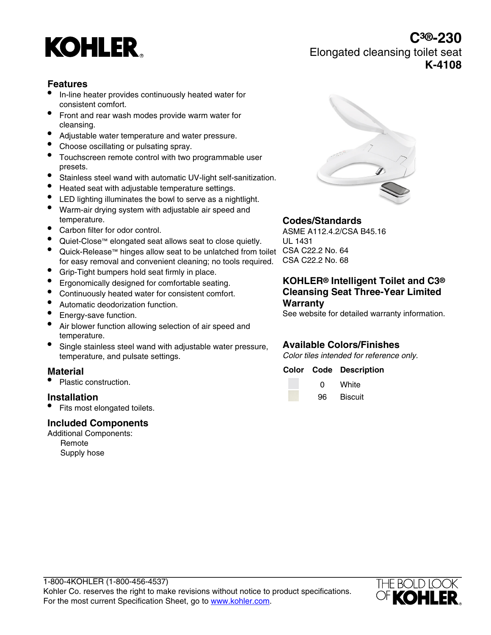# **KOHLER**

# **Features**

- In-line heater provides continuously heated water for consistent comfort.
- Front and rear wash modes provide warm water for cleansing.
- Adjustable water temperature and water pressure.
- Choose oscillating or pulsating spray.
- Touchscreen remote control with two programmable user presets.
- Stainless steel wand with automatic UV-light self-sanitization.
- Heated seat with adjustable temperature settings.
- LED lighting illuminates the bowl to serve as a nightlight.
- Warm-air drying system with adjustable air speed and temperature.
- Carbon filter for odor control.
- Quiet-Close™ elongated seat allows seat to close quietly.
- Quick-Release™ hinges allow seat to be unlatched from toilet CSA C22.2 No. 64 for easy removal and convenient cleaning; no tools required.
- Grip-Tight bumpers hold seat firmly in place.
- Ergonomically designed for comfortable seating.
- Continuously heated water for consistent comfort.
- Automatic deodorization function.
- Energy-save function.
- Air blower function allowing selection of air speed and temperature.
- Single stainless steel wand with adjustable water pressure, temperature, and pulsate settings.

#### **Material**

• Plastic construction.

#### **Installation**

• Fits most elongated toilets.

#### **Included Components**

Additional Components: Remote

Supply hose



### **Codes/Standards**

ASME A112.4.2/CSA B45.16 UL 1431 CSA C22.2 No. 68

#### **KOHLER® Intelligent Toilet and C3® Cleansing Seat Three-Year Limited Warranty**

See website for detailed warranty information.

#### **Available Colors/Finishes**

Color tiles intended for reference only.

#### **Color Code Description**

| O  | White          |
|----|----------------|
| 96 | <b>Biscuit</b> |



# **C³®-230** Elongated cleansing toilet seat **K-4108**